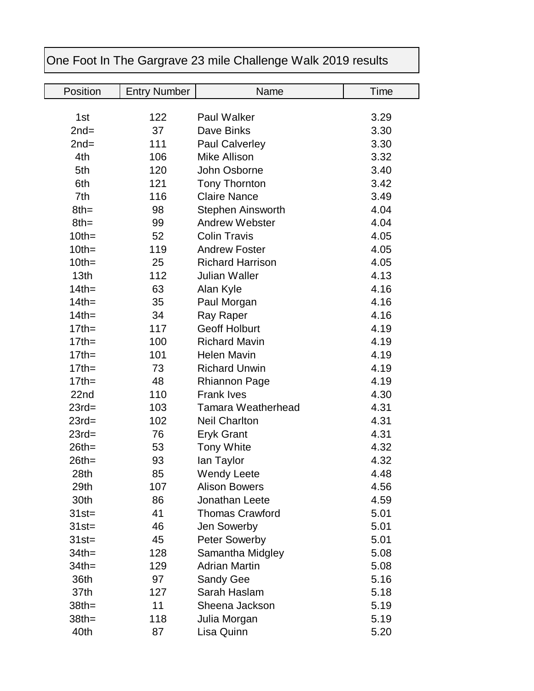| One Foot In The Gargrave 23 mile Challenge Walk 2019 results |                     |                           |      |  |  |
|--------------------------------------------------------------|---------------------|---------------------------|------|--|--|
|                                                              |                     |                           |      |  |  |
| Position                                                     | <b>Entry Number</b> | Name                      | Time |  |  |
| 1st                                                          | 122                 | <b>Paul Walker</b>        | 3.29 |  |  |
| $2nd=$                                                       | 37                  | Dave Binks                | 3.30 |  |  |
| $2nd=$                                                       | 111                 | <b>Paul Calverley</b>     | 3.30 |  |  |
| 4th                                                          | 106                 | Mike Allison              | 3.32 |  |  |
| 5th                                                          | 120                 | John Osborne              | 3.40 |  |  |
| 6th                                                          | 121                 | <b>Tony Thornton</b>      | 3.42 |  |  |
| 7th                                                          | 116                 | <b>Claire Nance</b>       | 3.49 |  |  |
| $8th =$                                                      | 98                  | <b>Stephen Ainsworth</b>  | 4.04 |  |  |
| $8th =$                                                      | 99                  | <b>Andrew Webster</b>     | 4.04 |  |  |
| $10th =$                                                     | 52                  | <b>Colin Travis</b>       | 4.05 |  |  |
| $10th =$                                                     | 119                 | <b>Andrew Foster</b>      | 4.05 |  |  |
| $10th =$                                                     | 25                  | <b>Richard Harrison</b>   | 4.05 |  |  |
| 13th                                                         | 112                 | <b>Julian Waller</b>      | 4.13 |  |  |
| $14$ th=                                                     | 63                  | Alan Kyle                 | 4.16 |  |  |
| $14$ th=                                                     | 35                  | Paul Morgan               | 4.16 |  |  |
| $14$ th=                                                     | 34                  | Ray Raper                 | 4.16 |  |  |
| $17$ th=                                                     | 117                 | <b>Geoff Holburt</b>      | 4.19 |  |  |
| $17$ th=                                                     | 100                 | <b>Richard Mavin</b>      | 4.19 |  |  |
| $17$ th=                                                     | 101                 | <b>Helen Mavin</b>        | 4.19 |  |  |
| $17$ th=                                                     | 73                  | <b>Richard Unwin</b>      | 4.19 |  |  |
| $17$ th=                                                     | 48                  | <b>Rhiannon Page</b>      | 4.19 |  |  |
| 22nd                                                         | 110                 | <b>Frank Ives</b>         | 4.30 |  |  |
| $23rd=$                                                      | 103                 | <b>Tamara Weatherhead</b> | 4.31 |  |  |
| $23rd=$                                                      | 102                 | <b>Neil Charlton</b>      | 4.31 |  |  |
| $23rd=$                                                      | 76                  | <b>Eryk Grant</b>         | 4.31 |  |  |
| $26th =$                                                     | 53                  | <b>Tony White</b>         | 4.32 |  |  |
| $26th =$                                                     | 93                  | lan Taylor                | 4.32 |  |  |
| 28th                                                         | 85                  | <b>Wendy Leete</b>        | 4.48 |  |  |
| 29th                                                         | 107                 | <b>Alison Bowers</b>      | 4.56 |  |  |
| 30th                                                         | 86                  | Jonathan Leete            | 4.59 |  |  |
| $31st =$                                                     | 41                  | <b>Thomas Crawford</b>    | 5.01 |  |  |
| $31st =$                                                     | 46                  | Jen Sowerby               | 5.01 |  |  |
| $31st =$                                                     | 45                  | <b>Peter Sowerby</b>      | 5.01 |  |  |
| $34$ th=                                                     | 128                 | Samantha Midgley          | 5.08 |  |  |
| $34$ th=                                                     | 129                 | <b>Adrian Martin</b>      | 5.08 |  |  |
| 36th                                                         | 97                  | Sandy Gee                 | 5.16 |  |  |
| 37th                                                         | 127                 | Sarah Haslam              | 5.18 |  |  |
| $38th =$                                                     | 11                  | Sheena Jackson            | 5.19 |  |  |
| $38th =$                                                     | 118                 | Julia Morgan              | 5.19 |  |  |
| 40th                                                         | 87                  | Lisa Quinn                | 5.20 |  |  |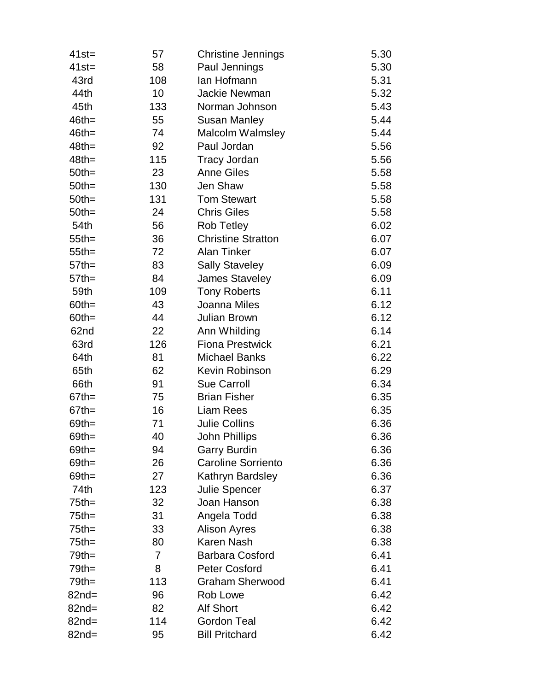| $41st =$ | 57  | <b>Christine Jennings</b> | 5.30 |
|----------|-----|---------------------------|------|
| $41st =$ | 58  | Paul Jennings             | 5.30 |
| 43rd     | 108 | lan Hofmann               | 5.31 |
| 44th     | 10  | Jackie Newman             | 5.32 |
| 45th     | 133 | Norman Johnson            | 5.43 |
| $46th =$ | 55  | <b>Susan Manley</b>       | 5.44 |
| $46th =$ | 74  | Malcolm Walmsley          | 5.44 |
| $48th =$ | 92  | Paul Jordan               | 5.56 |
| $48th =$ | 115 | <b>Tracy Jordan</b>       | 5.56 |
| $50th =$ | 23  | <b>Anne Giles</b>         | 5.58 |
| $50th =$ | 130 | Jen Shaw                  | 5.58 |
| $50th =$ | 131 | <b>Tom Stewart</b>        | 5.58 |
| $50th =$ | 24  | <b>Chris Giles</b>        | 5.58 |
| 54th     | 56  | <b>Rob Tetley</b>         | 6.02 |
| $55$ th= | 36  | <b>Christine Stratton</b> | 6.07 |
| $55$ th= | 72  | <b>Alan Tinker</b>        | 6.07 |
| $57$ th= | 83  | <b>Sally Staveley</b>     | 6.09 |
| $57$ th= | 84  | <b>James Staveley</b>     | 6.09 |
| 59th     | 109 | <b>Tony Roberts</b>       | 6.11 |
| $60th =$ | 43  | Joanna Miles              | 6.12 |
| $60th =$ | 44  | Julian Brown              | 6.12 |
| 62nd     | 22  | Ann Whilding              | 6.14 |
| 63rd     | 126 | <b>Fiona Prestwick</b>    | 6.21 |
| 64th     | 81  | <b>Michael Banks</b>      | 6.22 |
| 65th     | 62  | Kevin Robinson            | 6.29 |
| 66th     | 91  | <b>Sue Carroll</b>        | 6.34 |
| $67$ th= | 75  | <b>Brian Fisher</b>       | 6.35 |
| $67th =$ | 16  | <b>Liam Rees</b>          | 6.35 |
| $69th =$ | 71  | <b>Julie Collins</b>      | 6.36 |
| $69$ th= | 40  | John Phillips             | 6.36 |
| $69th =$ | 94  | <b>Garry Burdin</b>       | 6.36 |
| $69th =$ | 26  | <b>Caroline Sorriento</b> | 6.36 |
| $69th =$ | 27  | Kathryn Bardsley          | 6.36 |
| 74th     | 123 | <b>Julie Spencer</b>      | 6.37 |
| $75$ th= | 32  | Joan Hanson               | 6.38 |
| $75$ th= | 31  | Angela Todd               | 6.38 |
| $75$ th= | 33  | <b>Alison Ayres</b>       | 6.38 |
| $75th =$ | 80  | Karen Nash                | 6.38 |
| $79th =$ | 7   | <b>Barbara Cosford</b>    | 6.41 |
| $79th =$ | 8   | <b>Peter Cosford</b>      | 6.41 |
| $79th =$ | 113 | <b>Graham Sherwood</b>    | 6.41 |
| $82nd =$ | 96  | Rob Lowe                  | 6.42 |
| $82nd =$ | 82  | <b>Alf Short</b>          | 6.42 |
| $82nd =$ | 114 | <b>Gordon Teal</b>        | 6.42 |
| $82nd =$ | 95  | <b>Bill Pritchard</b>     | 6.42 |